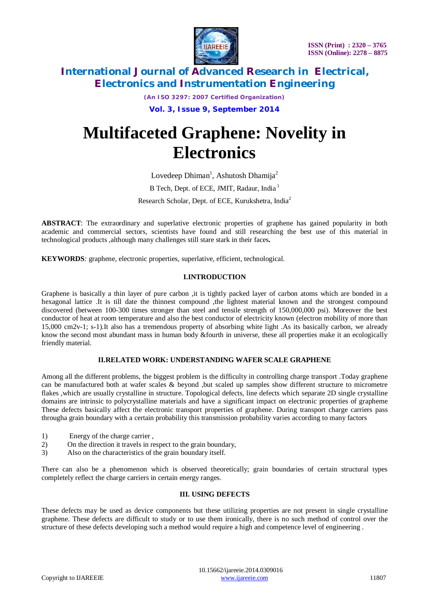

*(An ISO 3297: 2007 Certified Organization)*

**Vol. 3, Issue 9, September 2014**

# **Multifaceted Graphene: Novelity in Electronics**

Lovedeep Dhiman<sup>1</sup>, Ashutosh Dhamija<sup>2</sup> B Tech, Dept. of ECE, JMIT, Radaur, India<sup>1</sup> Research Scholar, Dept. of ECE, Kurukshetra, India<sup>2</sup>

**ABSTRACT**: The extraordinary and superlative electronic properties of graphene has gained popularity in both academic and commercial sectors, scientists have found and still researching the best use of this material in technological products ,although many challenges still stare stark in their faces**.**

**KEYWORDS***:* graphene, electronic properties, superlative, efficient, technological.

# **I.INTRODUCTION**

Graphene is basically a thin layer of pure carbon ,it is tightly packed layer of carbon atoms which are bonded in a hexagonal lattice .It is till date the thinnest compound ,the lightest material known and the strongest compound discovered (between 100-300 times stronger than steel and tensile strength of 150,000,000 psi). Moreover the best conductor of heat at room temperature and also the best conductor of electricity known (electron mobility of more than 15,000 cm2v-1; s-1).It also has a tremendous property of absorbing white light .As its basically carbon, we already know the second most abundant mass in human body &fourth in universe, these all properties make it an ecologically friendly material.

### **II.RELATED WORK: UNDERSTANDING WAFER SCALE GRAPHENE**

Among all the different problems, the biggest problem is the difficulty in controlling charge transport .Today graphene can be manufactured both at wafer scales & beyond ,but scaled up samples show different structure to micrometre flakes ,which are usually crystalline in structure. Topological defects, line defects which separate 2D single crystalline domains are intrinsic to polycrystalline materials and have a significant impact on electronic properties of grapheme These defects basically affect the electronic transport properties of graphene. During transport charge carriers pass througha grain boundary with a certain probability this transmission probability varies according to many factors

- 1) Energy of the charge carrier ,
- 2) On the direction it travels in respect to the grain boundary,
- 3) Also on the characteristics of the grain boundary itself.

There can also be a phenomenon which is observed theoretically; grain boundaries of certain structural types completely reflect the charge carriers in certain energy ranges.

### **III. USING DEFECTS**

These defects may be used as device components but these utilizing properties are not present in single crystalline graphene. These defects are difficult to study or to use them ironically, there is no such method of control over the structure of these defects developing such a method would require a high and competence level of engineering .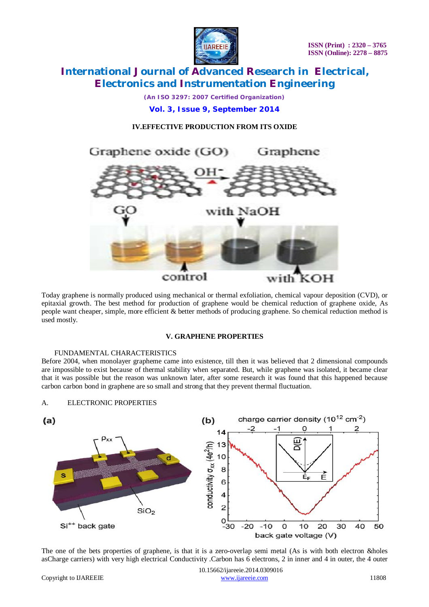

*(An ISO 3297: 2007 Certified Organization)*

**Vol. 3, Issue 9, September 2014**

# **IV.EFFECTIVE PRODUCTION FROM ITS OXIDE**



Today graphene is normally produced using mechanical or thermal exfoliation, chemical vapour deposition (CVD), or epitaxial growth. The best method for production of graphene would be chemical reduction of graphene oxide, As people want cheaper, simple, more efficient & better methods of producing graphene. So chemical reduction method is used mostly.

## **V. GRAPHENE PROPERTIES**

### FUNDAMENTAL CHARACTERISTICS

A. ELECTRONIC PROPERTIES

Before 2004, when monolayer grapheme came into existence, till then it was believed that 2 dimensional compounds are impossible to exist because of thermal stability when separated. But, while graphene was isolated, it became clear that it was possible but the reason was unknown later, after some research it was found that this happened because carbon carbon bond in graphene are so small and strong that they prevent thermal fluctuation.



The one of the bets properties of graphene, is that it is a zero-overlap semi metal (As is with both electron &holes asCharge carriers) with very high electrical Conductivity .Carbon has 6 electrons, 2 in inner and 4 in outer, the 4 outer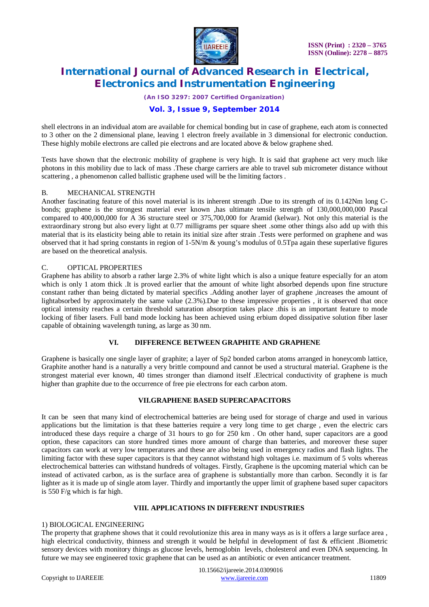

*(An ISO 3297: 2007 Certified Organization)*

# **Vol. 3, Issue 9, September 2014**

shell electrons in an individual atom are available for chemical bonding but in case of graphene, each atom is connected to 3 other on the 2 dimensional plane, leaving 1 electron freely available in 3 dimensional for electronic conduction. These highly mobile electrons are called pie electrons and are located above & below graphene shed.

Tests have shown that the electronic mobility of graphene is very high. It is said that graphene act very much like photons in this mobility due to lack of mass .These charge carriers are able to travel sub micrometer distance without scattering , a phenomenon called ballistic graphene used will be the limiting factors .

### B. MECHANICAL STRENGTH

Another fascinating feature of this novel material is its inherent strength .Due to its strength of its 0.142Nm long Cbonds; graphene is the strongest material ever known ,has ultimate tensile strength of 130,000,000,000 Pascal compared to 400,000,000 for A 36 structure steel or 375,700,000 for Aramid (kelwar). Not only this material is the extraordinary strong but also every light at 0.77 milligrams per square sheet .some other things also add up with this material that is its elasticity being able to retain its initial size after strain .Tests were performed on graphene and was observed that it had spring constants in region of  $1-5N/m$  & young's modulus of 0.5Tpa again these superlative figures are based on the theoretical analysis.

## C. OPTICAL PROPERTIES

Graphene has ability to absorb a rather large 2.3% of white light which is also a unique feature especially for an atom which is only 1 atom thick .It is proved earlier that the amount of white light absorbed depends upon fine structure constant rather than being dictated by material specifics .Adding another layer of graphene ,increases the amount of lightabsorbed by approximately the same value (2.3%).Due to these impressive properties , it is observed that once optical intensity reaches a certain threshold saturation absorption takes place .this is an important feature to mode locking of fiber lasers. Full band mode locking has been achieved using erbium doped dissipative solution fiber laser capable of obtaining wavelength tuning, as large as 30 nm.

# **VI. DIFFERENCE BETWEEN GRAPHITE AND GRAPHENE**

Graphene is basically one single layer of graphite; a layer of Sp2 bonded carbon atoms arranged in honeycomb lattice, Graphite another hand is a naturally a very brittle compound and cannot be used a structural material. Graphene is the strongest material ever known, 40 times stronger than diamond itself .Electrical conductivity of graphene is much higher than graphite due to the occurrence of free pie electrons for each carbon atom.

# **VII.GRAPHENE BASED SUPERCAPACITORS**

It can be seen that many kind of electrochemical batteries are being used for storage of charge and used in various applications but the limitation is that these batteries require a very long time to get charge , even the electric cars introduced these days require a charge of 31 hours to go for 250 km . On other hand, super capacitors are a good option, these capacitors can store hundred times more amount of charge than batteries, and moreover these super capacitors can work at very low temperatures and these are also being used in emergency radios and flash lights. The limiting factor with these super capacitors is that they cannot withstand high voltages i.e. maximum of 5 volts whereas electrochemical batteries can withstand hundreds of voltages. Firstly, Graphene is the upcoming material which can be instead of activated carbon, as is the surface area of graphene is substantially more than carbon. Secondly it is far lighter as it is made up of single atom layer. Thirdly and importantly the upper limit of graphene based super capacitors is 550 F/g which is far high.

## **VIII. APPLICATIONS IN DIFFERENT INDUSTRIES**

### 1) BIOLOGICAL ENGINEERING

The property that graphene shows that it could revolutionize this area in many ways as is it offers a large surface area , high electrical conductivity, thinness and strength it would be helpful in development of fast & efficient .Biometric sensory devices with monitory things as glucose levels, hemoglobin levels, cholesterol and even DNA sequencing. In future we may see engineered toxic graphene that can be used as an antibiotic or even anticancer treatment.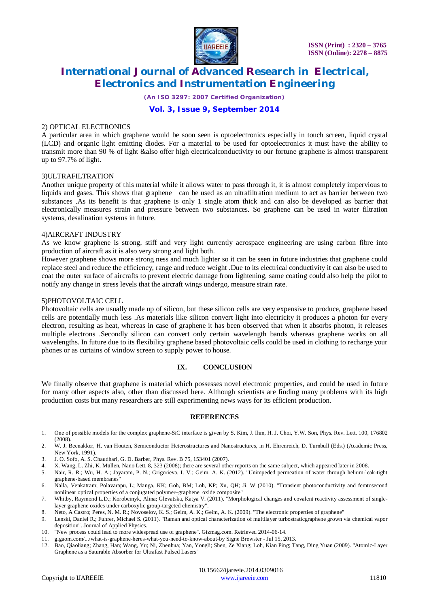

*(An ISO 3297: 2007 Certified Organization)*

# **Vol. 3, Issue 9, September 2014**

### 2) OPTICAL ELECTRONICS

A particular area in which graphene would be soon seen is optoelectronics especially in touch screen, liquid crystal (LCD) and organic light emitting diodes. For a material to be used for optoelectronics it must have the ability to transmit more than 90 % of light &also offer high electricalconductivity to our fortune graphene is almost transparent up to 97.7% of light.

#### 3)ULTRAFILTRATION

Another unique property of this material while it allows water to pass through it, it is almost completely impervious to liquids and gases. This shows that graphene can be used as an ultrafiltration medium to act as barrier between two substances .As its benefit is that graphene is only 1 single atom thick and can also be developed as barrier that electronically measures strain and pressure between two substances. So graphene can be used in water filtration systems, desalination systems in future.

#### 4)AIRCRAFT INDUSTRY

As we know graphene is strong, stiff and very light currently aerospace engineering are using carbon fibre into production of aircraft as it is also very strong and light both.

However graphene shows more strong ness and much lighter so it can be seen in future industries that graphene could replace steel and reduce the efficiency, range and reduce weight .Due to its electrical conductivity it can also be used to coat the outer surface of aircrafts to prevent electric damage from lightening, same coating could also help the pilot to notify any change in stress levels that the aircraft wings undergo, measure strain rate.

#### 5)PHOTOVOLTAIC CELL

Photovoltaic cells are usually made up of silicon, but these silicon cells are very expensive to produce, graphene based cells are potentially much less .As materials like silicon convert light into electricity it produces a photon for every electron, resulting as heat, whereas in case of graphene it has been observed that when it absorbs photon, it releases multiple electrons .Secondly silicon can convert only certain wavelength bands whereas graphene works on all wavelengths. In future due to its flexibility graphene based photovoltaic cells could be used in clothing to recharge your phones or as curtains of window screen to supply power to house.

### **IX. CONCLUSION**

We finally observe that graphene is material which possesses novel electronic properties, and could be used in future for many other aspects also, other than discussed here. Although scientists are finding many problems with its high production costs but many researchers are still experimenting news ways for its efficient production.

### **REFERENCES**

- 1. One of possible models for the complex graphene-SiC interface is given by S. Kim, J. Ihm, H. J. Choi, Y.W. Son, Phys. Rev. Lett. 100, 176802 (2008).
- 2. W. J. Beenakker, H. van Houten, Semiconductor Heterostructures and Nanostructures, in H. Ehrenreich, D. Turnbull (Eds.) (Academic Press, New York, 1991).
- 3. J. O. Sofo, A. S. Chaudhari, G. D. Barber, Phys. Rev. B 75, 153401 (2007).
- 4. X. Wang, L. Zhi, K. Müllen, Nano Lett. 8, 323 (2008); there are several other reports on the same subject, which appeared later in 2008.
- 5. Nair, R. R.; Wu, H. A.; Jayaram, P. N.; Grigorieva, I. V.; Geim, A. K. (2012). "Unimpeded permeation of water through helium-leak-tight graphene-based membranes"
- 6. Nalla, Venkatram; Polavarapu, L; Manga, KK; Goh, BM; Loh, KP; Xu, QH; Ji, W (2010). "Transient photoconductivity and femtosecond nonlinear optical properties of a conjugated polymer–graphene oxide composite"
- 7. Whitby, Raymond L.D.; Korobeinyk, Alina; Glevatska, Katya V. (2011). "Morphological changes and covalent reactivity assessment of singlelayer graphene oxides under carboxylic group-targeted chemistry".
- 8. Neto, A Castro; Peres, N. M. R.; Novoselov, K. S.; Geim, A. K.; Geim, A. K. (2009). "The electronic properties of graphene"
- 9. Lenski, Daniel R.; Fuhrer, Michael S. (2011). "Raman and optical characterization of multilayer turbostraticgraphene grown via chemical vapor deposition". Journal of Applied Physics.
- 10. "New process could lead to more widespread use of graphene". Gizmag.com. Retrieved 2014-06-14.
- 11. gigaom.com/.../what-is-graphene-heres-what-you-need-to-know-about-by Signe Brewster Jul 15, 2013.
- 12. Bao, Qiaoliang; Zhang, Han; Wang, Yu; Ni, Zhenhua; Yan, Yongli; Shen, Ze Xiang; Loh, Kian Ping; Tang, Ding Yuan (2009). "Atomic-Layer Graphene as a Saturable Absorber for Ultrafast Pulsed Lasers"